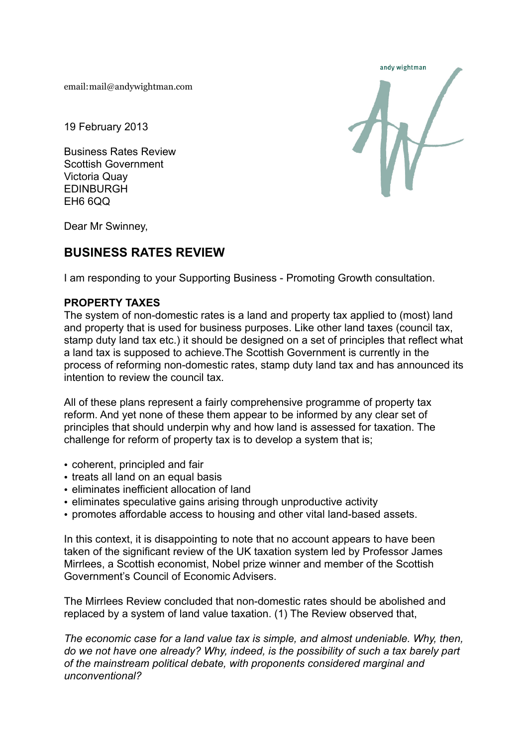email: mail@andywightman.com

19 February 2013

Business Rates Review Scottish Government Victoria Quay EDINBURGH EH6 6QQ



Dear Mr Swinney,

# **BUSINESS RATES REVIEW**

I am responding to your Supporting Business - Promoting Growth consultation.

# **PROPERTY TAXES**

The system of non-domestic rates is a land and property tax applied to (most) land and property that is used for business purposes. Like other land taxes (council tax, stamp duty land tax etc.) it should be designed on a set of principles that reflect what a land tax is supposed to achieve.The Scottish Government is currently in the process of reforming non-domestic rates, stamp duty land tax and has announced its intention to review the council tax.

All of these plans represent a fairly comprehensive programme of property tax reform. And yet none of these them appear to be informed by any clear set of principles that should underpin why and how land is assessed for taxation. The challenge for reform of property tax is to develop a system that is;

- coherent, principled and fair
- treats all land on an equal basis
- eliminates inefficient allocation of land
- eliminates speculative gains arising through unproductive activity
- promotes affordable access to housing and other vital land-based assets.

In this context, it is disappointing to note that no account appears to have been taken of the significant review of the UK taxation system led by Professor James Mirrlees, a Scottish economist, Nobel prize winner and member of the Scottish Government's Council of Economic Advisers.

The Mirrlees Review concluded that non-domestic rates should be abolished and replaced by a system of land value taxation. (1) The Review observed that,

*The economic case for a land value tax is simple, and almost undeniable. Why, then, do we not have one already? Why, indeed, is the possibility of such a tax barely part of the mainstream political debate, with proponents considered marginal and unconventional?*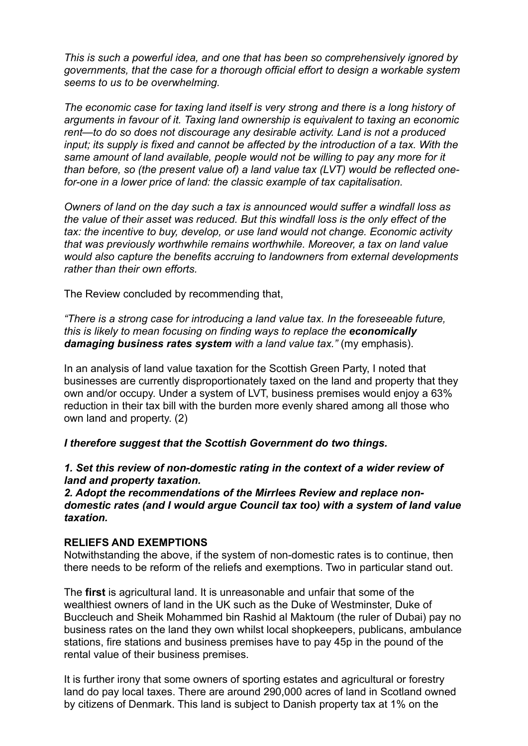*This is such a powerful idea, and one that has been so comprehensively ignored by governments, that the case for a thorough official effort to design a workable system seems to us to be overwhelming.*

*The economic case for taxing land itself is very strong and there is a long history of arguments in favour of it. Taxing land ownership is equivalent to taxing an economic rent—to do so does not discourage any desirable activity. Land is not a produced input; its supply is fixed and cannot be affected by the introduction of a tax. With the same amount of land available, people would not be willing to pay any more for it than before, so (the present value of) a land value tax (LVT) would be reflected onefor-one in a lower price of land: the classic example of tax capitalisation.*

*Owners of land on the day such a tax is announced would suffer a windfall loss as the value of their asset was reduced. But this windfall loss is the only effect of the tax: the incentive to buy, develop, or use land would not change. Economic activity that was previously worthwhile remains worthwhile. Moreover, a tax on land value would also capture the benefits accruing to landowners from external developments rather than their own efforts.*

The Review concluded by recommending that,

*"There is a strong case for introducing a land value tax. In the foreseeable future, this is likely to mean focusing on finding ways to replace the economically damaging business rates system with a land value tax."* (my emphasis).

In an analysis of land value taxation for the Scottish Green Party, I noted that businesses are currently disproportionately taxed on the land and property that they own and/or occupy. Under a system of LVT, business premises would enjoy a 63% reduction in their tax bill with the burden more evenly shared among all those who own land and property. (2)

*I therefore suggest that the Scottish Government do two things.*

# **1. Set this review of non-domestic rating in the context of a wider review of** *land and property taxation.*

#### *2. Adopt the recommendations of the Mirrlees Review and replace nondomestic rates (and I would argue Council tax too) with a system of land value taxation.*

## **RELIEFS AND EXEMPTIONS**

Notwithstanding the above, if the system of non-domestic rates is to continue, then there needs to be reform of the reliefs and exemptions. Two in particular stand out.

The **first** is agricultural land. It is unreasonable and unfair that some of the wealthiest owners of land in the UK such as the Duke of Westminster, Duke of Buccleuch and Sheik Mohammed bin Rashid al Maktoum (the ruler of Dubai) pay no business rates on the land they own whilst local shopkeepers, publicans, ambulance stations, fire stations and business premises have to pay 45p in the pound of the rental value of their business premises.

It is further irony that some owners of sporting estates and agricultural or forestry land do pay local taxes. There are around 290,000 acres of land in Scotland owned by citizens of Denmark. This land is subject to Danish property tax at 1% on the